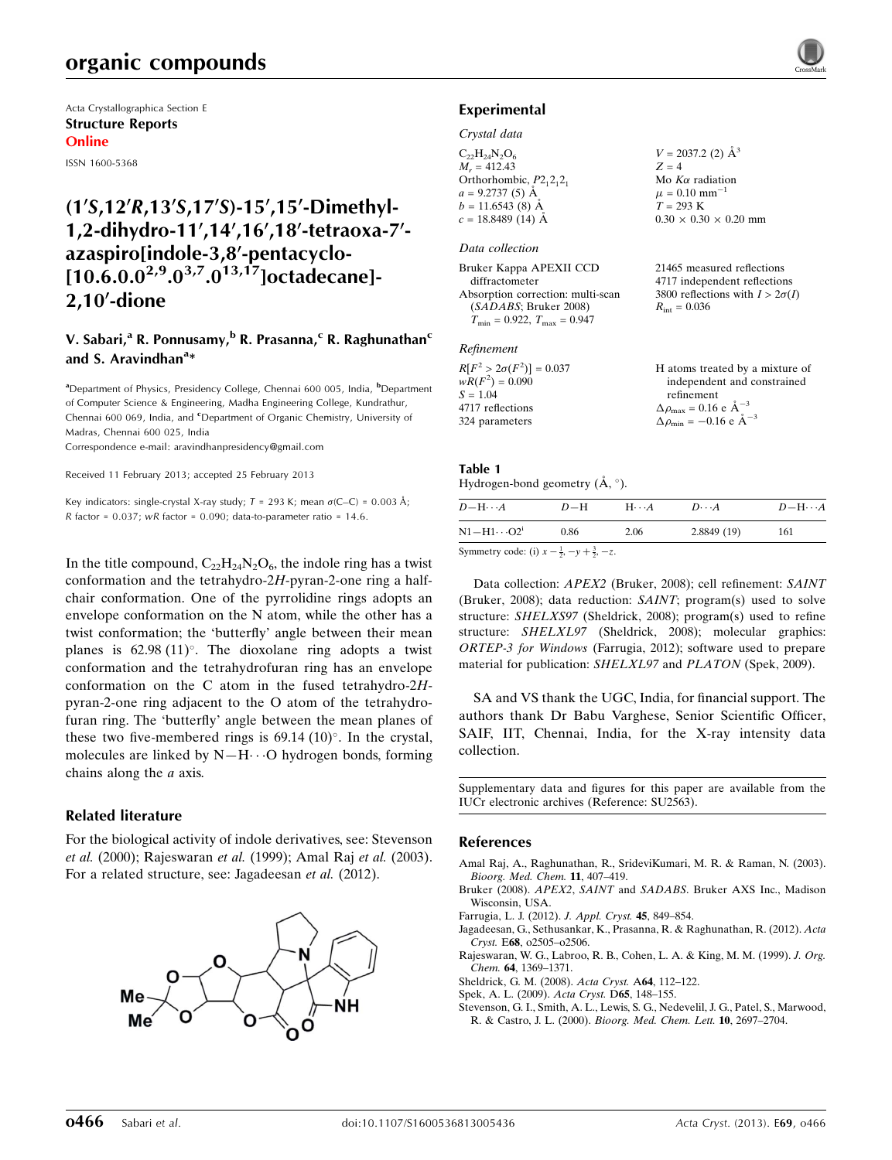# organic compounds

Acta Crystallographica Section E Structure Reports Online

ISSN 1600-5368

# $(1\sqrt{S},12\sqrt{R},13\sqrt{S},17\sqrt{S})$ -15',15'-Dimethyl-1,2-dihydro-11',14',16',18'-tetraoxa-7'azaspiro[indole-3,8'-pentacyclo- $[10.6.0.0^{2,9}.0^{3,7}.0^{13,17}]$ octadecane]- $2,10'$ -dione

### V. Sabari,<sup>a</sup> R. Ponnusamy,<sup>b</sup> R. Prasanna,<sup>c</sup> R. Raghunathan<sup>c</sup> and S. Aravindhan<sup>a</sup>\*

<sup>a</sup>Department of Physics, Presidency College, Chennai 600 005, India, <sup>b</sup>Department of Computer Science & Engineering, Madha Engineering College, Kundrathur, Chennai 600 069, India, and <sup>c</sup>Department of Organic Chemistry, University of Madras, Chennai 600 025, India

Correspondence e-mail: [aravindhanpresidency@gmail.com](https://scripts.iucr.org/cgi-bin/cr.cgi?rm=pdfbb&cnor=su2563&bbid=BB8)

Received 11 February 2013; accepted 25 February 2013

Key indicators: single-crystal X-ray study;  $T = 293$  K; mean  $\sigma$ (C–C) = 0.003 Å; R factor =  $0.037$ ; wR factor =  $0.090$ ; data-to-parameter ratio = 14.6.

In the title compound,  $C_{22}H_{24}N_2O_6$ , the indole ring has a twist conformation and the tetrahydro-2H-pyran-2-one ring a halfchair conformation. One of the pyrrolidine rings adopts an envelope conformation on the N atom, while the other has a twist conformation; the 'butterfly' angle between their mean planes is  $62.98 (11)$ °. The dioxolane ring adopts a twist conformation and the tetrahydrofuran ring has an envelope conformation on the C atom in the fused tetrahydro-2Hpyran-2-one ring adjacent to the O atom of the tetrahydrofuran ring. The 'butterfly' angle between the mean planes of these two five-membered rings is  $69.14$   $(10)^\circ$ . In the crystal, molecules are linked by  $N-H\cdots O$  hydrogen bonds, forming chains along the a axis.

#### Related literature

For the biological activity of indole derivatives, see: Stevenson et al. (2000); Rajeswaran et al. (1999); Amal Raj et al. (2003). For a related structure, see: Jagadeesan et al. (2012).



#### Experimental

#### Crystal data

| $C_{22}H_{24}N_2O_6$       | $V = 2037.2$ (2) $\AA^3$          |
|----------------------------|-----------------------------------|
| $M_{\odot} = 412.43$       | $Z = 4$                           |
| Orthorhombic, $P2_12_12_1$ | Mo $K\alpha$ radiation            |
| $a = 9.2737(5)$ Å          | $\mu = 0.10$ mm <sup>-1</sup>     |
| $b = 11.6543(8)$ Å         | $T = 293 \text{ K}$               |
| $c = 18.8489(14)$ Å        | $0.30 \times 0.30 \times 0.20$ mm |

#### Data collection

| Bruker Kappa APEXII CCD              |  |
|--------------------------------------|--|
| diffractometer                       |  |
| Absorption correction: multi-scan    |  |
| (SADABS; Bruker 2008)                |  |
| $T_{\min} = 0.922, T_{\max} = 0.947$ |  |

#### Refinement

| $R[F^2 > 2\sigma(F^2)] = 0.037$ | H atoms treated by a mixture of                               |
|---------------------------------|---------------------------------------------------------------|
| $wR(F^2) = 0.090$               | independent and constrained                                   |
| $S = 1.04$                      | refinement                                                    |
| 4717 reflections                | $\Delta \rho_{\text{max}} = 0.16 \text{ e A}^{-3}$            |
| 324 parameters                  | $\Delta \rho_{\text{min}} = -0.16 \text{ e } \text{\AA}^{-3}$ |

21465 measured reflections 4717 independent reflections 3800 reflections with  $I > 2\sigma(I)$ 

 $R_{\text{int}} = 0.036$ 

#### Table 1

| Hydrogen-bond geometry $(\mathring{A}, \degree)$ . |  |  |
|----------------------------------------------------|--|--|
|                                                    |  |  |

| $D - H \cdots A$                   | $D-H$ | $H \cdot \cdot \cdot A$ | $D\cdots A$ | $D-\mathrm{H}\cdots A$ |
|------------------------------------|-------|-------------------------|-------------|------------------------|
| $\rm N1\!-\!H1\!\cdots\!O2^i$      | 0.86  | 2.06                    | 2.8849(19)  | 161                    |
| $\alpha$ and $\alpha$ and $\alpha$ |       |                         |             |                        |

Symmetry code: (i)  $x - \frac{1}{2}, -y + \frac{3}{2}, -z$ .

Data collection: APEX2 (Bruker, 2008); cell refinement: SAINT (Bruker, 2008); data reduction: SAINT; program(s) used to solve structure: SHELXS97 (Sheldrick, 2008); program(s) used to refine structure: SHELXL97 (Sheldrick, 2008); molecular graphics: ORTEP-3 for Windows (Farrugia, 2012); software used to prepare material for publication: SHELXL97 and PLATON (Spek, 2009).

SA and VS thank the UGC, India, for financial support. The authors thank Dr Babu Varghese, Senior Scientific Officer, SAIF, IIT, Chennai, India, for the X-ray intensity data collection.

Supplementary data and figures for this paper are available from the IUCr electronic archives (Reference: SU2563).

#### References

- [Amal Raj, A., Raghunathan, R., SrideviKumari, M. R. & Raman, N. \(2003\).](https://scripts.iucr.org/cgi-bin/cr.cgi?rm=pdfbb&cnor=su2563&bbid=BB1) [Bioorg. Med. Chem.](https://scripts.iucr.org/cgi-bin/cr.cgi?rm=pdfbb&cnor=su2563&bbid=BB1) 11, 407–419.
- Bruker (2008). APEX2, SAINT and SADABS[. Bruker AXS Inc., Madison](https://scripts.iucr.org/cgi-bin/cr.cgi?rm=pdfbb&cnor=su2563&bbid=BB2) [Wisconsin, USA.](https://scripts.iucr.org/cgi-bin/cr.cgi?rm=pdfbb&cnor=su2563&bbid=BB2)
- [Farrugia, L. J. \(2012\).](https://scripts.iucr.org/cgi-bin/cr.cgi?rm=pdfbb&cnor=su2563&bbid=BB3) J. Appl. Cryst. 45, 849–854.
- [Jagadeesan, G., Sethusankar, K., Prasanna, R. & Raghunathan, R. \(2012\).](https://scripts.iucr.org/cgi-bin/cr.cgi?rm=pdfbb&cnor=su2563&bbid=BB4) Acta Cryst. E68[, o2505–o2506.](https://scripts.iucr.org/cgi-bin/cr.cgi?rm=pdfbb&cnor=su2563&bbid=BB4) [Rajeswaran, W. G., Labroo, R. B., Cohen, L. A. & King, M. M. \(1999\).](https://scripts.iucr.org/cgi-bin/cr.cgi?rm=pdfbb&cnor=su2563&bbid=BB5) J. Org.
- Chem. 64[, 1369–1371.](https://scripts.iucr.org/cgi-bin/cr.cgi?rm=pdfbb&cnor=su2563&bbid=BB5)
- [Sheldrick, G. M. \(2008\).](https://scripts.iucr.org/cgi-bin/cr.cgi?rm=pdfbb&cnor=su2563&bbid=BB6) Acta Cryst. A64, 112–122.
- [Spek, A. L. \(2009\).](https://scripts.iucr.org/cgi-bin/cr.cgi?rm=pdfbb&cnor=su2563&bbid=BB7) Acta Cryst. D65, 148–155.
- [Stevenson, G. I., Smith, A. L., Lewis, S. G., Nedevelil, J. G., Patel, S., Marwood,](https://scripts.iucr.org/cgi-bin/cr.cgi?rm=pdfbb&cnor=su2563&bbid=BB8) R. & Castro, J. L. (2000). [Bioorg. Med. Chem. Lett.](https://scripts.iucr.org/cgi-bin/cr.cgi?rm=pdfbb&cnor=su2563&bbid=BB8) 10, 2697–2704.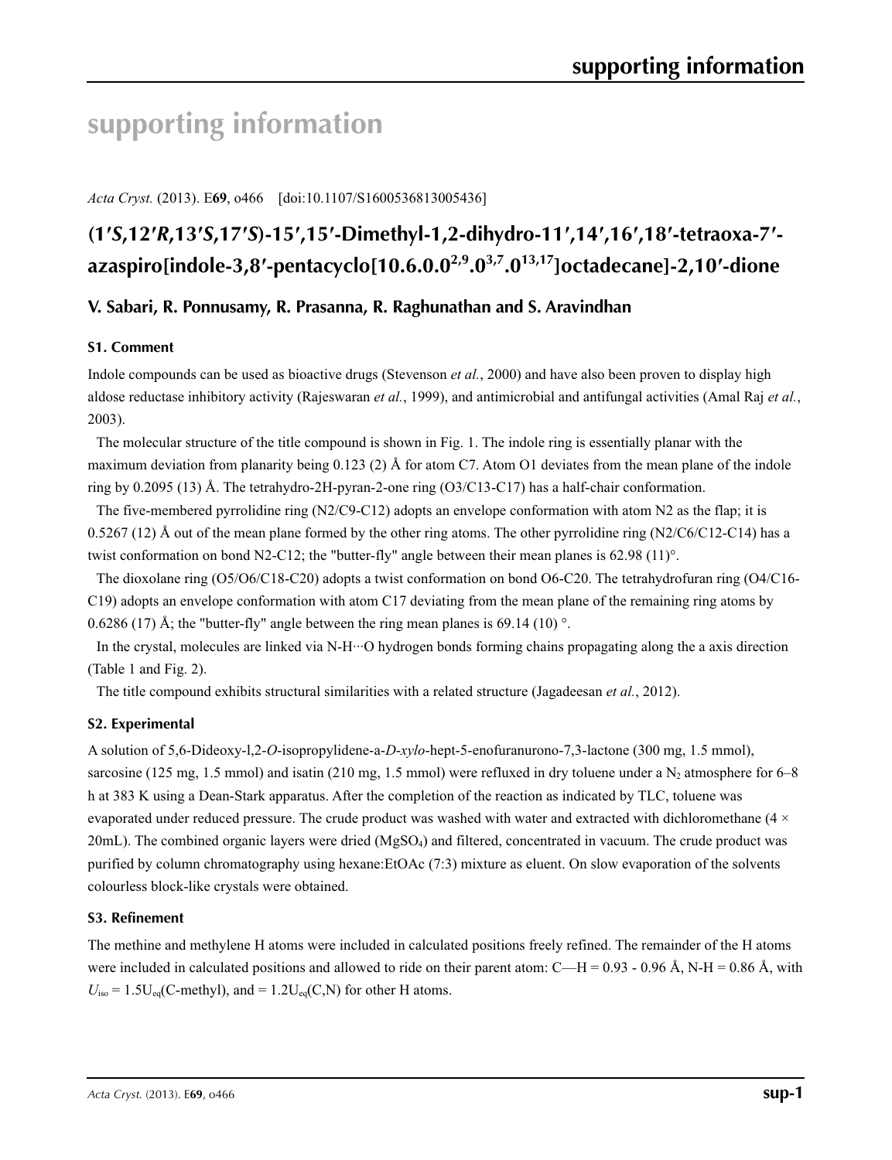# **supporting information**

*Acta Cryst.* (2013). E**69**, o466 [doi:10.1107/S1600536813005436]

# (1'S,12'R,13'S,17'S)-15',15'-Dimethyl-1,2-dihydro-11',14',16',18'-tetraoxa-7'**azaspiro[indole-3,8′-pentacyclo[10.6.0.02,9.03,7.013,17]octadecane]-2,10′-dione**

### **V. Sabari, R. Ponnusamy, R. Prasanna, R. Raghunathan and S. Aravindhan**

#### **S1. Comment**

Indole compounds can be used as bioactive drugs (Stevenson *et al.*, 2000) and have also been proven to display high aldose reductase inhibitory activity (Rajeswaran *et al.*, 1999), and antimicrobial and antifungal activities (Amal Raj *et al.*, 2003).

The molecular structure of the title compound is shown in Fig. 1. The indole ring is essentially planar with the maximum deviation from planarity being 0.123 (2) Å for atom C7. Atom O1 deviates from the mean plane of the indole ring by 0.2095 (13) Å. The tetrahydro-2H-pyran-2-one ring (O3/C13-C17) has a half-chair conformation.

The five-membered pyrrolidine ring (N2/C9-C12) adopts an envelope conformation with atom N2 as the flap; it is  $0.5267(12)$  Å out of the mean plane formed by the other ring atoms. The other pyrrolidine ring  $(N2/C6/C12-C14)$  has a twist conformation on bond N2-C12; the "butter-fly" angle between their mean planes is 62.98 (11)°.

The dioxolane ring (O5/O6/C18-C20) adopts a twist conformation on bond O6-C20. The tetrahydrofuran ring (O4/C16- C19) adopts an envelope conformation with atom C17 deviating from the mean plane of the remaining ring atoms by 0.6286 (17) Å; the "butter-fly" angle between the ring mean planes is 69.14 (10) $^{\circ}$ .

In the crystal, molecules are linked via N-H···O hydrogen bonds forming chains propagating along the a axis direction (Table 1 and Fig. 2).

The title compound exhibits structural similarities with a related structure (Jagadeesan *et al.*, 2012).

#### **S2. Experimental**

A solution of 5,6-Dideoxy-l,2-*O*-isopropylidene-a-*D*-*xylo*-hept-5-enofuranurono-7,3-lactone (300 mg, 1.5 mmol), sarcosine (125 mg, 1.5 mmol) and isatin (210 mg, 1.5 mmol) were refluxed in dry toluene under a  $N_2$  atmosphere for 6–8 h at 383 K using a Dean-Stark apparatus. After the completion of the reaction as indicated by TLC, toluene was evaporated under reduced pressure. The crude product was washed with water and extracted with dichloromethane (4 ×  $20$ mL). The combined organic layers were dried (MgSO<sub>4</sub>) and filtered, concentrated in vacuum. The crude product was purified by column chromatography using hexane:EtOAc (7:3) mixture as eluent. On slow evaporation of the solvents colourless block-like crystals were obtained.

#### **S3. Refinement**

The methine and methylene H atoms were included in calculated positions freely refined. The remainder of the H atoms were included in calculated positions and allowed to ride on their parent atom: C—H = 0.93 - 0.96 Å, N-H = 0.86 Å, with  $U_{\text{iso}} = 1.5U_{\text{eq}}(C\text{-methyl})$ , and  $= 1.2U_{\text{eq}}(C,N)$  for other H atoms.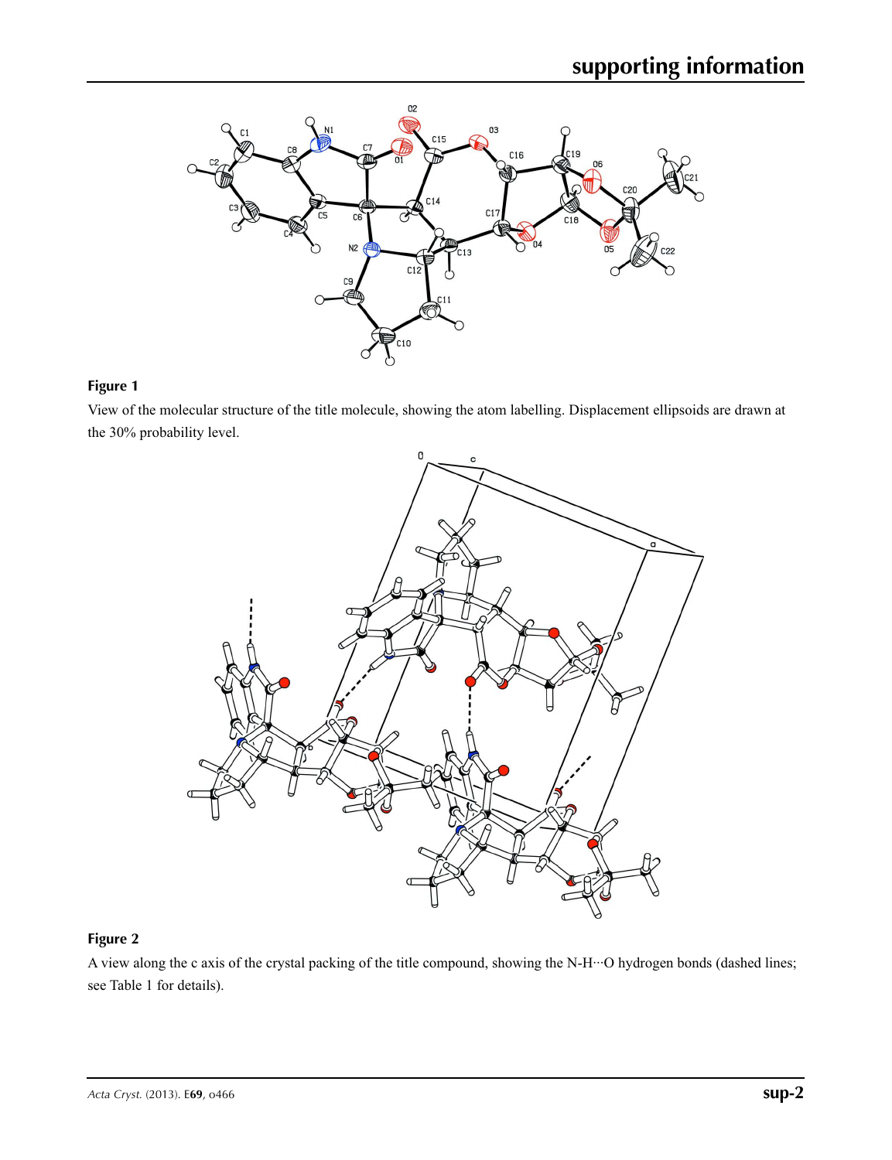

## **Figure 1**

View of the molecular structure of the title molecule, showing the atom labelling. Displacement ellipsoids are drawn at the 30% probability level.



# **Figure 2**

A view along the c axis of the crystal packing of the title compound, showing the N-H···O hydrogen bonds (dashed lines; see Table 1 for details).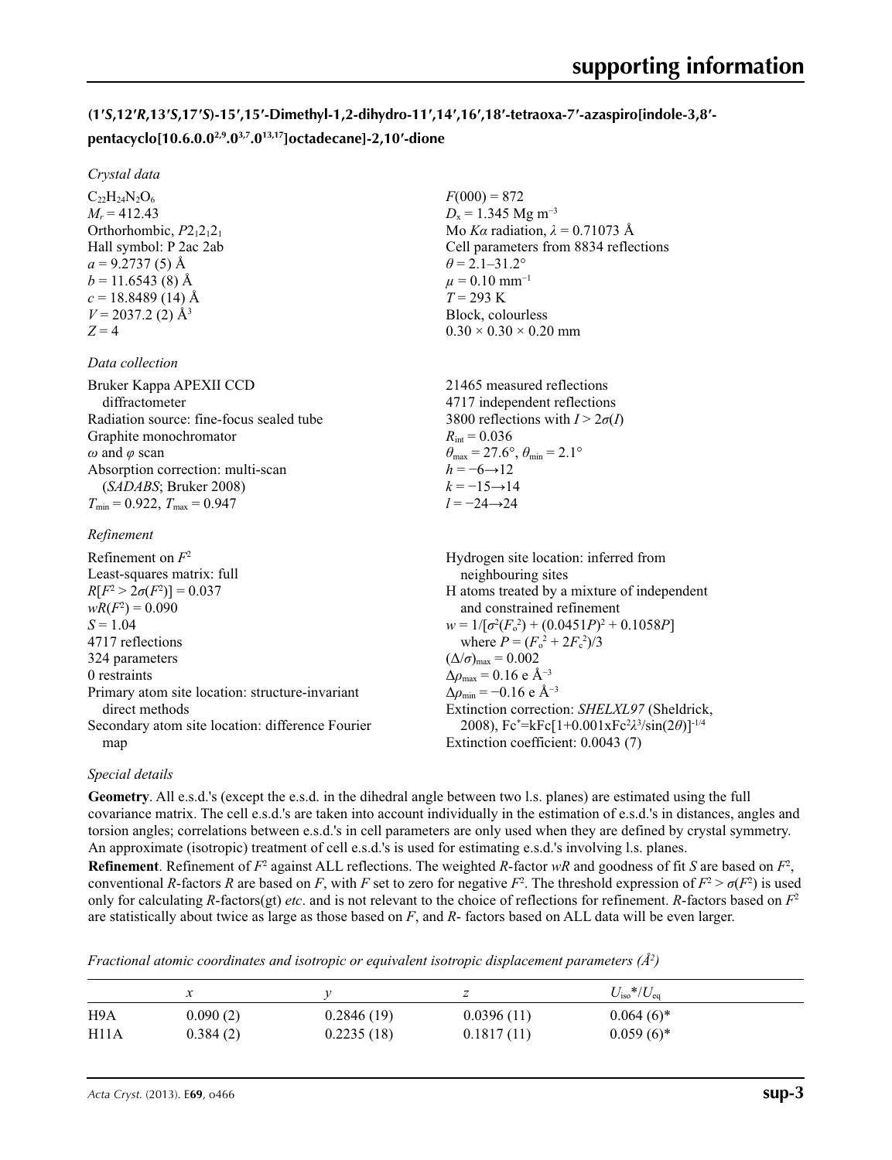# (1'S,12'R,13'S,17'S)-15',15'-Dimethyl-1,2-dihydro-11',14',16',18'-tetraoxa-7'-azaspiro[indole-3,8'**pentacyclo[10.6.0.02,9.03,7.013,17]octadecane]-2,10′-dione**

 $F(000) = 872$  $D_x = 1.345$  Mg m<sup>-3</sup>

 $\theta$  = 2.1–31.2°  $\mu$  = 0.10 mm<sup>-1</sup> *T* = 293 K Block, colourless  $0.30 \times 0.30 \times 0.20$  mm

 $R_{\text{int}} = 0.036$ 

 $h = -6 \rightarrow 12$  $k = -15 \rightarrow 14$ *l* = −24→24

Mo *Kα* radiation,  $\lambda = 0.71073$  Å Cell parameters from 8834 reflections

21465 measured reflections 4717 independent reflections 3800 reflections with  $I > 2\sigma(I)$ 

 $\theta_{\text{max}} = 27.6^{\circ}, \theta_{\text{min}} = 2.1^{\circ}$ 

#### *Crystal data*

 $C_{22}H_{24}N_{2}O_{6}$  $M_r = 412.43$ Orthorhombic,  $P2_12_12_1$ Hall symbol: P 2ac 2ab  $a = 9.2737(5)$  Å  $b = 11.6543(8)$  Å  $c = 18.8489(14)$  Å  $V = 2037.2$  (2)  $\AA$ <sup>3</sup>  $Z = 4$ 

#### *Data collection*

Bruker Kappa APEXII CCD diffractometer Radiation source: fine-focus sealed tube Graphite monochromator *ω* and *φ* scan Absorption correction: multi-scan (*SADABS*; Bruker 2008)  $T_{\text{min}} = 0.922$ ,  $T_{\text{max}} = 0.947$ 

#### *Refinement*

| Refinement on $F^2$<br>Least-squares matrix: full | Hydrogen site location: inferred from<br>neighbouring sites    |
|---------------------------------------------------|----------------------------------------------------------------|
| $R[F^2 > 2\sigma(F^2)] = 0.037$                   | H atoms treated by a mixture of independent                    |
| $wR(F^2) = 0.090$                                 | and constrained refinement                                     |
| $S = 1.04$                                        | $w = 1/[\sigma^2(F_0^2) + (0.0451P)^2 + 0.1058P]$              |
| 4717 reflections                                  | where $P = (F_o^2 + 2F_c^2)/3$                                 |
| 324 parameters                                    | $(\Delta/\sigma)_{\text{max}} = 0.002$                         |
| 0 restraints                                      | $\Delta \rho_{\text{max}} = 0.16 \text{ e A}^{-3}$             |
| Primary atom site location: structure-invariant   | $\Delta \rho_{\rm min} = -0.16 \text{ e } \text{\AA}^{-3}$     |
| direct methods                                    | Extinction correction: SHELXL97 (Sheldrick,                    |
| Secondary atom site location: difference Fourier  | 2008), $Fc^* = kFc[1+0.001xFc^2\lambda^3/sin(2\theta)]^{-1/4}$ |
| map                                               | Extinction coefficient: 0.0043 (7)                             |

#### *Special details*

**Geometry**. All e.s.d.'s (except the e.s.d. in the dihedral angle between two l.s. planes) are estimated using the full covariance matrix. The cell e.s.d.'s are taken into account individually in the estimation of e.s.d.'s in distances, angles and torsion angles; correlations between e.s.d.'s in cell parameters are only used when they are defined by crystal symmetry. An approximate (isotropic) treatment of cell e.s.d.'s is used for estimating e.s.d.'s involving l.s. planes.

**Refinement**. Refinement of  $F^2$  against ALL reflections. The weighted *R*-factor  $wR$  and goodness of fit *S* are based on  $F^2$ , conventional *R*-factors *R* are based on *F*, with *F* set to zero for negative  $F^2$ . The threshold expression of  $F^2 > \sigma(F^2)$  is used only for calculating *R*-factors(gt) *etc*. and is not relevant to the choice of reflections for refinement. *R*-factors based on *F*<sup>2</sup> are statistically about twice as large as those based on *F*, and *R*- factors based on ALL data will be even larger.

*Fractional atomic coordinates and isotropic or equivalent isotropic displacement parameters (Å<sup>2</sup>)* 

|      | ⋏        |            |            | $U_{\rm iso}*/U_{\rm eq}$ |
|------|----------|------------|------------|---------------------------|
| H9A  | 0.090(2) | 0.2846(19) | 0.0396(11) | $0.064(6)*$               |
| H11A | 0.384(2) | 0.2235(18) | 0.1817(11) | $0.059(6)$ *              |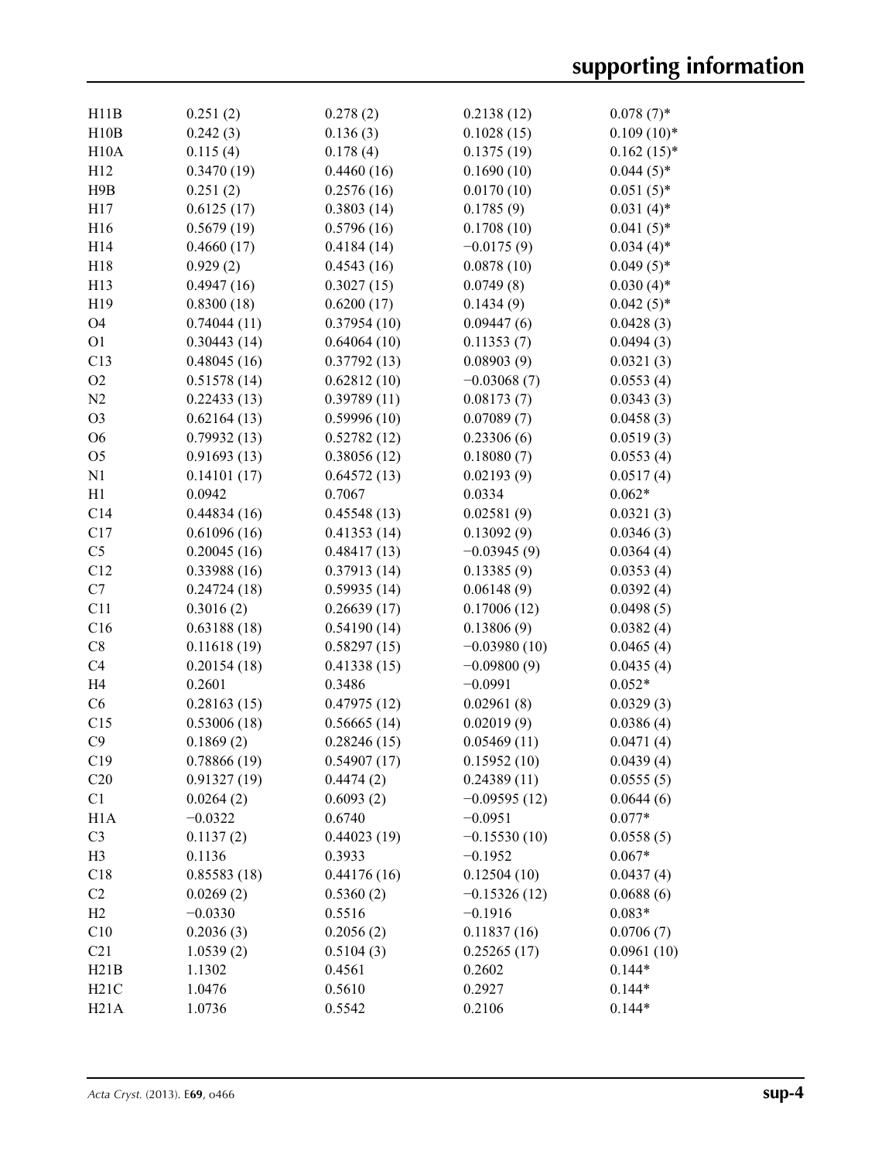| H11B             | 0.251(2)    | 0.278(2)    | 0.2138(12)     | $0.078(7)$ * |
|------------------|-------------|-------------|----------------|--------------|
| H10B             | 0.242(3)    | 0.136(3)    | 0.1028(15)     | $0.109(10)*$ |
| H10A             | 0.115(4)    | 0.178(4)    | 0.1375(19)     | $0.162(15)*$ |
| H12              | 0.3470(19)  | 0.4460(16)  | 0.1690(10)     | $0.044(5)$ * |
| H9B              | 0.251(2)    | 0.2576(16)  | 0.0170(10)     | $0.051(5)$ * |
| H17              | 0.6125(17)  | 0.3803(14)  | 0.1785(9)      | $0.031(4)$ * |
| H16              | 0.5679(19)  | 0.5796(16)  | 0.1708(10)     | $0.041(5)$ * |
| H14              | 0.4660(17)  | 0.4184(14)  | $-0.0175(9)$   | $0.034(4)$ * |
| H18              | 0.929(2)    | 0.4543(16)  | 0.0878(10)     | $0.049(5)$ * |
| H13              | 0.4947(16)  | 0.3027(15)  | 0.0749(8)      | $0.030(4)$ * |
|                  |             |             |                |              |
| H19              | 0.8300(18)  | 0.6200(17)  | 0.1434(9)      | $0.042(5)$ * |
| O <sub>4</sub>   | 0.74044(11) | 0.37954(10) | 0.09447(6)     | 0.0428(3)    |
| O <sub>1</sub>   | 0.30443(14) | 0.64064(10) | 0.11353(7)     | 0.0494(3)    |
| C13              | 0.48045(16) | 0.37792(13) | 0.08903(9)     | 0.0321(3)    |
| O2               | 0.51578(14) | 0.62812(10) | $-0.03068(7)$  | 0.0553(4)    |
| N2               | 0.22433(13) | 0.39789(11) | 0.08173(7)     | 0.0343(3)    |
| O <sub>3</sub>   | 0.62164(13) | 0.59996(10) | 0.07089(7)     | 0.0458(3)    |
| O <sub>6</sub>   | 0.79932(13) | 0.52782(12) | 0.23306(6)     | 0.0519(3)    |
| O <sub>5</sub>   | 0.91693(13) | 0.38056(12) | 0.18080(7)     | 0.0553(4)    |
| N1               | 0.14101(17) | 0.64572(13) | 0.02193(9)     | 0.0517(4)    |
| H1               | 0.0942      | 0.7067      | 0.0334         | $0.062*$     |
| C14              | 0.44834(16) | 0.45548(13) | 0.02581(9)     | 0.0321(3)    |
| C17              | 0.61096(16) | 0.41353(14) | 0.13092(9)     | 0.0346(3)    |
| C <sub>5</sub>   | 0.20045(16) | 0.48417(13) | $-0.03945(9)$  | 0.0364(4)    |
| C12              | 0.33988(16) | 0.37913(14) | 0.13385(9)     | 0.0353(4)    |
| C7               | 0.24724(18) | 0.59935(14) | 0.06148(9)     | 0.0392(4)    |
| C11              | 0.3016(2)   | 0.26639(17) | 0.17006(12)    | 0.0498(5)    |
| C16              | 0.63188(18) | 0.54190(14) | 0.13806(9)     | 0.0382(4)    |
| C8               | 0.11618(19) | 0.58297(15) | $-0.03980(10)$ | 0.0465(4)    |
| C <sub>4</sub>   | 0.20154(18) | 0.41338(15) | $-0.09800(9)$  | 0.0435(4)    |
| H <sub>4</sub>   | 0.2601      | 0.3486      | $-0.0991$      | $0.052*$     |
| C6               | 0.28163(15) | 0.47975(12) | 0.02961(8)     | 0.0329(3)    |
| C15              | 0.53006(18) | 0.56665(14) | 0.02019(9)     | 0.0386(4)    |
| C9               | 0.1869(2)   |             |                | 0.0471(4)    |
|                  |             | 0.28246(15) | 0.05469(11)    |              |
| C19              | 0.78866(19) | 0.54907(17) | 0.15952(10)    | 0.0439(4)    |
| C20              | 0.91327(19) | 0.4474(2)   | 0.24389(11)    | 0.0555(5)    |
| C1               | 0.0264(2)   | 0.6093(2)   | $-0.09595(12)$ | 0.0644(6)    |
| H <sub>1</sub> A | $-0.0322$   | 0.6740      | $-0.0951$      | $0.077*$     |
| C <sub>3</sub>   | 0.1137(2)   | 0.44023(19) | $-0.15530(10)$ | 0.0558(5)    |
| H <sub>3</sub>   | 0.1136      | 0.3933      | $-0.1952$      | $0.067*$     |
| C18              | 0.85583(18) | 0.44176(16) | 0.12504(10)    | 0.0437(4)    |
| C <sub>2</sub>   | 0.0269(2)   | 0.5360(2)   | $-0.15326(12)$ | 0.0688(6)    |
| H2               | $-0.0330$   | 0.5516      | $-0.1916$      | $0.083*$     |
| C10              | 0.2036(3)   | 0.2056(2)   | 0.11837(16)    | 0.0706(7)    |
| C21              | 1.0539(2)   | 0.5104(3)   | 0.25265(17)    | 0.0961(10)   |
| H21B             | 1.1302      | 0.4561      | 0.2602         | $0.144*$     |
| H21C             | 1.0476      | 0.5610      | 0.2927         | $0.144*$     |
| H21A             | 1.0736      | 0.5542      | 0.2106         | $0.144*$     |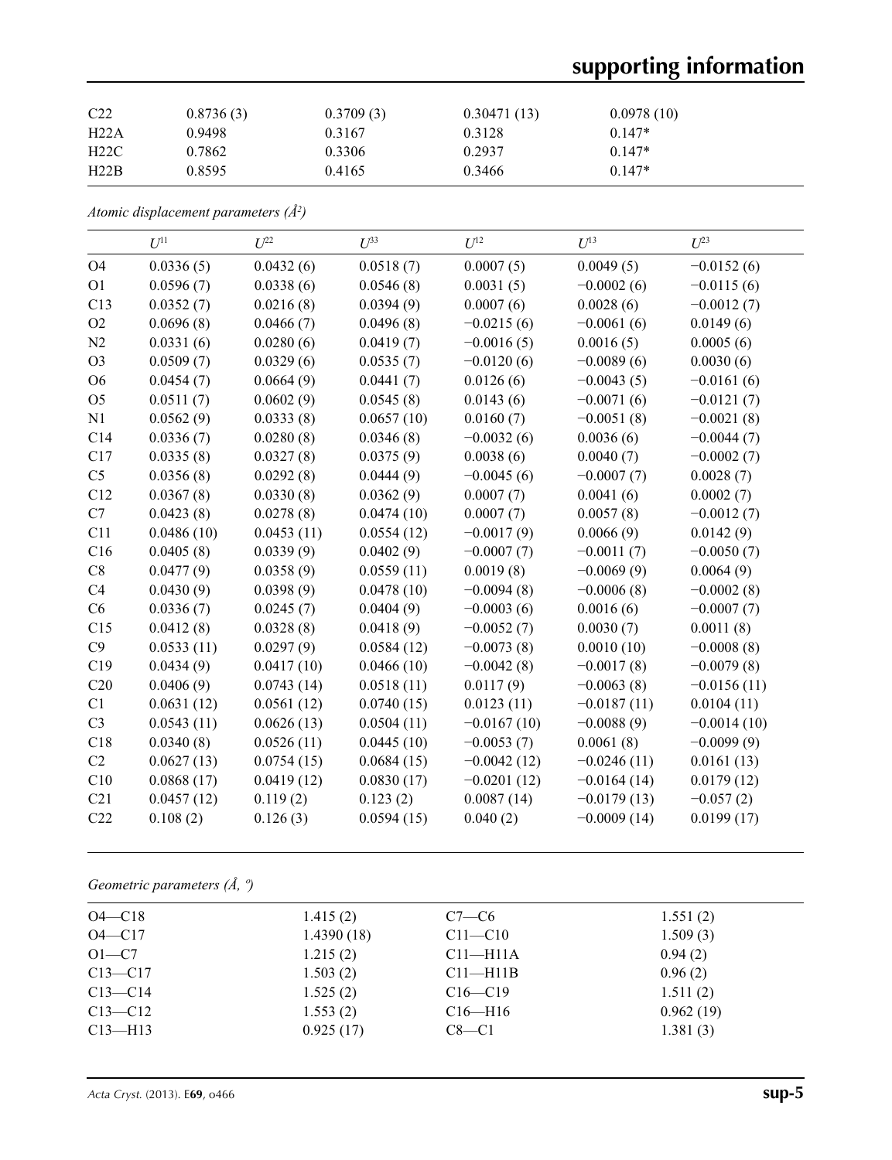# **supporting information**

| C <sub>22</sub> | 0.8736(3) | 0.3709(3) | 0.30471(13) | 0.0978(10) |
|-----------------|-----------|-----------|-------------|------------|
| H22A            | 0.9498    | 0.3167    | 0.3128      | $0.147*$   |
| H22C            | 0.7862    | 0.3306    | 0.2937      | $0.147*$   |
| H22B            | 0.8595    | 0.4165    | 0.3466      | $0.147*$   |

*Atomic displacement parameters (Å2 )*

|                | $U^{11}$   | $U^{22}$   | $U^{33}$   | $U^{12}$      | $U^{13}$      | $U^{23}$      |
|----------------|------------|------------|------------|---------------|---------------|---------------|
| O4             | 0.0336(5)  | 0.0432(6)  | 0.0518(7)  | 0.0007(5)     | 0.0049(5)     | $-0.0152(6)$  |
| O <sub>1</sub> | 0.0596(7)  | 0.0338(6)  | 0.0546(8)  | 0.0031(5)     | $-0.0002(6)$  | $-0.0115(6)$  |
| C13            | 0.0352(7)  | 0.0216(8)  | 0.0394(9)  | 0.0007(6)     | 0.0028(6)     | $-0.0012(7)$  |
| O2             | 0.0696(8)  | 0.0466(7)  | 0.0496(8)  | $-0.0215(6)$  | $-0.0061(6)$  | 0.0149(6)     |
| N <sub>2</sub> | 0.0331(6)  | 0.0280(6)  | 0.0419(7)  | $-0.0016(5)$  | 0.0016(5)     | 0.0005(6)     |
| O <sub>3</sub> | 0.0509(7)  | 0.0329(6)  | 0.0535(7)  | $-0.0120(6)$  | $-0.0089(6)$  | 0.0030(6)     |
| O <sub>6</sub> | 0.0454(7)  | 0.0664(9)  | 0.0441(7)  | 0.0126(6)     | $-0.0043(5)$  | $-0.0161(6)$  |
| O <sub>5</sub> | 0.0511(7)  | 0.0602(9)  | 0.0545(8)  | 0.0143(6)     | $-0.0071(6)$  | $-0.0121(7)$  |
| N1             | 0.0562(9)  | 0.0333(8)  | 0.0657(10) | 0.0160(7)     | $-0.0051(8)$  | $-0.0021(8)$  |
| C14            | 0.0336(7)  | 0.0280(8)  | 0.0346(8)  | $-0.0032(6)$  | 0.0036(6)     | $-0.0044(7)$  |
| C17            | 0.0335(8)  | 0.0327(8)  | 0.0375(9)  | 0.0038(6)     | 0.0040(7)     | $-0.0002(7)$  |
| C <sub>5</sub> | 0.0356(8)  | 0.0292(8)  | 0.0444(9)  | $-0.0045(6)$  | $-0.0007(7)$  | 0.0028(7)     |
| C12            | 0.0367(8)  | 0.0330(8)  | 0.0362(9)  | 0.0007(7)     | 0.0041(6)     | 0.0002(7)     |
| C7             | 0.0423(8)  | 0.0278(8)  | 0.0474(10) | 0.0007(7)     | 0.0057(8)     | $-0.0012(7)$  |
| C11            | 0.0486(10) | 0.0453(11) | 0.0554(12) | $-0.0017(9)$  | 0.0066(9)     | 0.0142(9)     |
| C16            | 0.0405(8)  | 0.0339(9)  | 0.0402(9)  | $-0.0007(7)$  | $-0.0011(7)$  | $-0.0050(7)$  |
| C8             | 0.0477(9)  | 0.0358(9)  | 0.0559(11) | 0.0019(8)     | $-0.0069(9)$  | 0.0064(9)     |
| C4             | 0.0430(9)  | 0.0398(9)  | 0.0478(10) | $-0.0094(8)$  | $-0.0006(8)$  | $-0.0002(8)$  |
| C <sub>6</sub> | 0.0336(7)  | 0.0245(7)  | 0.0404(9)  | $-0.0003(6)$  | 0.0016(6)     | $-0.0007(7)$  |
| C15            | 0.0412(8)  | 0.0328(8)  | 0.0418(9)  | $-0.0052(7)$  | 0.0030(7)     | 0.0011(8)     |
| C9             | 0.0533(11) | 0.0297(9)  | 0.0584(12) | $-0.0073(8)$  | 0.0010(10)    | $-0.0008(8)$  |
| C19            | 0.0434(9)  | 0.0417(10) | 0.0466(10) | $-0.0042(8)$  | $-0.0017(8)$  | $-0.0079(8)$  |
| C20            | 0.0406(9)  | 0.0743(14) | 0.0518(11) | 0.0117(9)     | $-0.0063(8)$  | $-0.0156(11)$ |
| C1             | 0.0631(12) | 0.0561(12) | 0.0740(15) | 0.0123(11)    | $-0.0187(11)$ | 0.0104(11)    |
| C <sub>3</sub> | 0.0543(11) | 0.0626(13) | 0.0504(11) | $-0.0167(10)$ | $-0.0088(9)$  | $-0.0014(10)$ |
| C18            | 0.0340(8)  | 0.0526(11) | 0.0445(10) | $-0.0053(7)$  | 0.0061(8)     | $-0.0099(9)$  |
| C2             | 0.0627(13) | 0.0754(15) | 0.0684(15) | $-0.0042(12)$ | $-0.0246(11)$ | 0.0161(13)    |
| C10            | 0.0868(17) | 0.0419(12) | 0.0830(17) | $-0.0201(12)$ | $-0.0164(14)$ | 0.0179(12)    |
| C21            | 0.0457(12) | 0.119(2)   | 0.123(2)   | 0.0087(14)    | $-0.0179(13)$ | $-0.057(2)$   |
| C22            | 0.108(2)   | 0.126(3)   | 0.0594(15) | 0.040(2)      | $-0.0009(14)$ | 0.0199(17)    |

*Geometric parameters (Å, º)*

| $O4 - C18$  | 1.415(2)   | $C7-C6$       | 1.551(2)  |  |
|-------------|------------|---------------|-----------|--|
| $O4 - C17$  | 1.4390(18) | $C11 - C10$   | 1.509(3)  |  |
| $O1-C7$     | 1.215(2)   | $C11-H11A$    | 0.94(2)   |  |
| $C13 - C17$ | 1.503(2)   | $C11 - H11B$  | 0.96(2)   |  |
| $C13 - C14$ | 1.525(2)   | $C16 - C19$   | 1.511(2)  |  |
| $C13 - C12$ | 1.553(2)   | $C16$ —H $16$ | 0.962(19) |  |
| $C13$ —H13  | 0.925(17)  | $C8-C1$       | 1.381(3)  |  |
|             |            |               |           |  |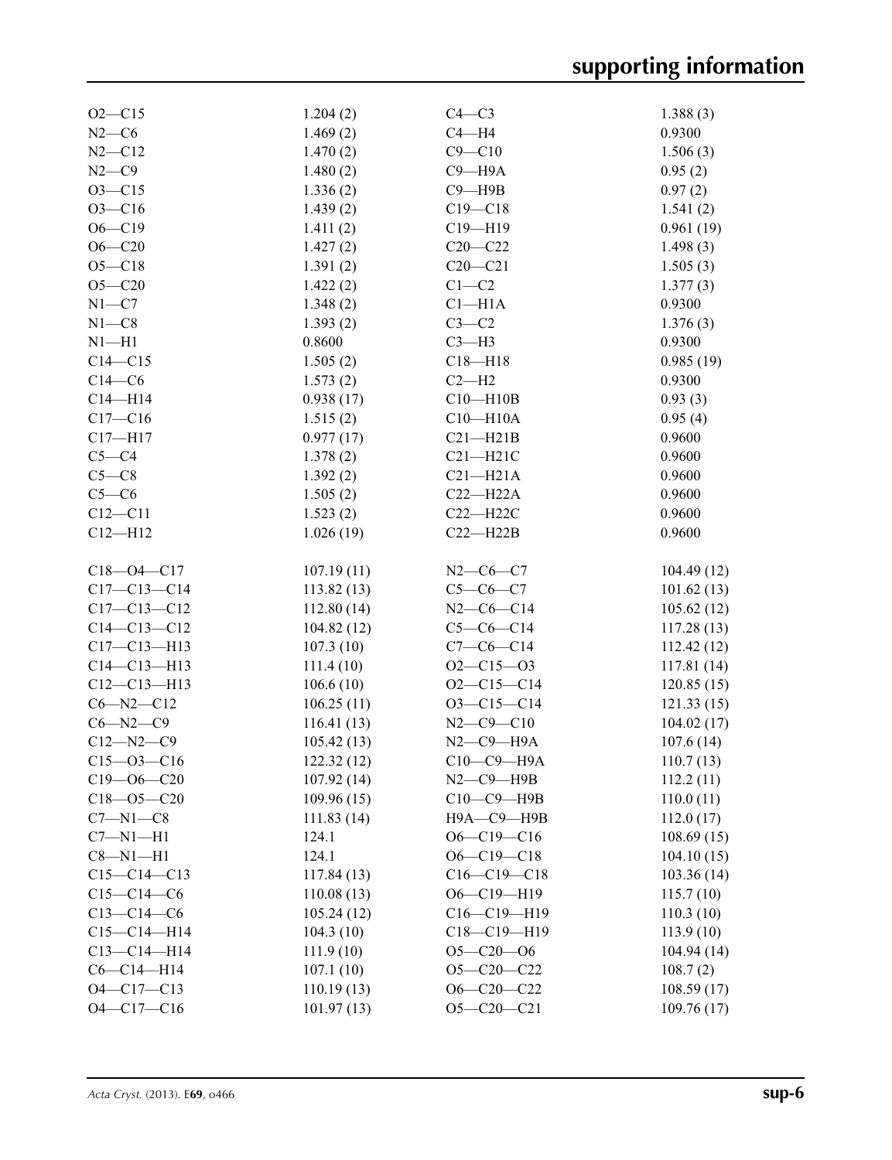| $O2 - C15$        | 1.204(2)   | $C4 - C3$           | 1.388(3)   |
|-------------------|------------|---------------------|------------|
| $N2-C6$           | 1.469(2)   | $C4 - H4$           | 0.9300     |
| $N2 - C12$        | 1.470(2)   | $C9 - C10$          | 1.506(3)   |
| $N2-C9$           | 1.480(2)   | $C9 - H9A$          | 0.95(2)    |
| $O3 - C15$        | 1.336(2)   | $C9 - H9B$          | 0.97(2)    |
| $O3 - C16$        | 1.439(2)   | $C19 - C18$         | 1.541(2)   |
| $O6 - C19$        | 1.411(2)   | $C19 - H19$         | 0.961(19)  |
| $O6 - C20$        | 1.427(2)   | $C20 - C22$         | 1.498(3)   |
| $O5-C18$          | 1.391(2)   | $C20 - C21$         | 1.505(3)   |
| $O5 - C20$        | 1.422(2)   | $C1-C2$             | 1.377(3)   |
| $N1 - C7$         | 1.348(2)   | $Cl-H1A$            | 0.9300     |
| $N1 - C8$         |            | $C3-C2$             |            |
|                   | 1.393(2)   |                     | 1.376(3)   |
| $N1 - H1$         | 0.8600     | $C3-H3$             | 0.9300     |
| $C14 - C15$       | 1.505(2)   | $C18 - H18$         | 0.985(19)  |
| $C14-C6$          | 1.573(2)   | $C2-H2$             | 0.9300     |
| $C14 - H14$       | 0.938(17)  | $C10 - H10B$        | 0.93(3)    |
| $C17 - C16$       | 1.515(2)   | $C10 - H10A$        | 0.95(4)    |
| $C17 - H17$       | 0.977(17)  | $C21 - H21B$        | 0.9600     |
| $C5-C4$           | 1.378(2)   | $C21 - H21C$        | 0.9600     |
| $C5-C8$           | 1.392(2)   | $C21 - H21A$        | 0.9600     |
| $C5-C6$           | 1.505(2)   | $C22-H22A$          | 0.9600     |
| $C12 - C11$       | 1.523(2)   | $C22 - H22C$        | 0.9600     |
| $C12 - H12$       | 1.026(19)  | $C22 - H22B$        | 0.9600     |
|                   |            |                     |            |
| $C18 - 04 - C17$  | 107.19(11) | $N2-C6-C7$          | 104.49(12) |
| $C17 - C13 - C14$ | 113.82(13) | $C5-C6-C7$          | 101.62(13) |
| $C17 - C13 - C12$ | 112.80(14) | $N2-C6-C14$         | 105.62(12) |
| $C14 - C13 - C12$ | 104.82(12) | $C5-C6-C14$         | 117.28(13) |
| $C17 - C13 - H13$ | 107.3(10)  | $C7-C6-C14$         | 112.42(12) |
| $C14 - C13 - H13$ | 111.4(10)  | $O2 - C15 - O3$     | 117.81(14) |
| $C12-C13-H13$     | 106.6(10)  | $O2 - C15 - C14$    | 120.85(15) |
| $C6 - N2 - C12$   | 106.25(11) | $O3-C15-C14$        | 121.33(15) |
| $C6 - N2 - C9$    | 116.41(13) | $N2 - C9 - C10$     | 104.02(17) |
| $C12 - N2 - C9$   | 105.42(13) | $N2$ –C9–H9A        | 107.6(14)  |
|                   |            |                     |            |
| $C15 - 03 - C16$  | 122.32(12) | $C10-C9-$ H9A       | 110.7(13)  |
| $C19 - 06 - C20$  | 107.92(14) | $N2$ – $C9$ – $H9B$ | 112.2(11)  |
| $C18 - 05 - C20$  | 109.96(15) | C10-C9-H9B          | 110.0(11)  |
| $C7 - N1 - C8$    | 111.83(14) | Н9А-С9-Н9В          | 112.0(17)  |
| $C7 - N1 - H1$    | 124.1      | $O6-C19-C16$        | 108.69(15) |
| $C8 - N1 - H1$    | 124.1      | $O6-C19-C18$        | 104.10(15) |
| $C15-C14-C13$     | 117.84(13) | $C16-C19-C18$       | 103.36(14) |
| $C15-C14-C6$      | 110.08(13) | O6-C19-H19          | 115.7(10)  |
| $C13 - C14 - C6$  | 105.24(12) | $C16-C19-H19$       | 110.3(10)  |
| $C15 - C14 - H14$ | 104.3(10)  | $C18 - C19 - H19$   | 113.9(10)  |
| $C13 - C14 - H14$ | 111.9(10)  | $O5 - C20 - O6$     | 104.94(14) |
| $C6 - C14 - H14$  | 107.1(10)  | $O5 - C20 - C22$    | 108.7(2)   |
| $O4 - C17 - C13$  | 110.19(13) | $O6 - C20 - C22$    | 108.59(17) |
| $O4 - C17 - C16$  | 101.97(13) | $O5 - C20 - C21$    | 109.76(17) |